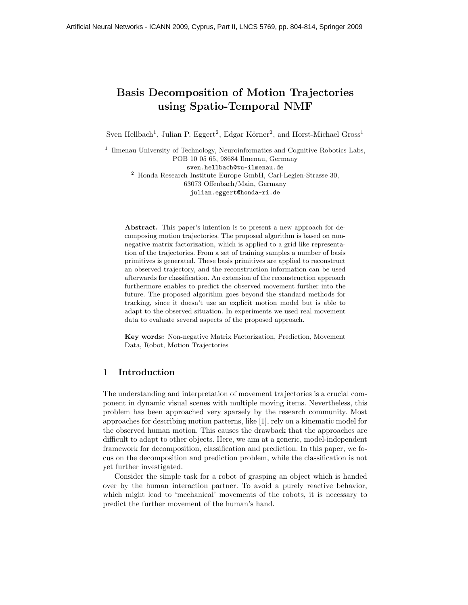# Basis Decomposition of Motion Trajectories using Spatio-Temporal NMF

Sven Hellbach<sup>1</sup>, Julian P. Eggert<sup>2</sup>, Edgar Körner<sup>2</sup>, and Horst-Michael Gross<sup>1</sup>

<sup>1</sup> Ilmenau University of Technology, Neuroinformatics and Cognitive Robotics Labs, POB 10 05 65, 98684 Ilmenau, Germany sven.hellbach@tu-ilmenau.de <sup>2</sup> Honda Research Institute Europe GmbH, Carl-Legien-Strasse 30, 63073 Offenbach/Main, Germany julian.eggert@honda-ri.de

Abstract. This paper's intention is to present a new approach for decomposing motion trajectories. The proposed algorithm is based on nonnegative matrix factorization, which is applied to a grid like representation of the trajectories. From a set of training samples a number of basis primitives is generated. These basis primitives are applied to reconstruct an observed trajectory, and the reconstruction information can be used afterwards for classification. An extension of the reconstruction approach furthermore enables to predict the observed movement further into the future. The proposed algorithm goes beyond the standard methods for tracking, since it doesn't use an explicit motion model but is able to adapt to the observed situation. In experiments we used real movement data to evaluate several aspects of the proposed approach.

Key words: Non-negative Matrix Factorization, Prediction, Movement Data, Robot, Motion Trajectories

# 1 Introduction

The understanding and interpretation of movement trajectories is a crucial component in dynamic visual scenes with multiple moving items. Nevertheless, this problem has been approached very sparsely by the research community. Most approaches for describing motion patterns, like [1], rely on a kinematic model for the observed human motion. This causes the drawback that the approaches are difficult to adapt to other objects. Here, we aim at a generic, model-independent framework for decomposition, classification and prediction. In this paper, we focus on the decomposition and prediction problem, while the classification is not yet further investigated.

Consider the simple task for a robot of grasping an object which is handed over by the human interaction partner. To avoid a purely reactive behavior, which might lead to 'mechanical' movements of the robots, it is necessary to predict the further movement of the human's hand.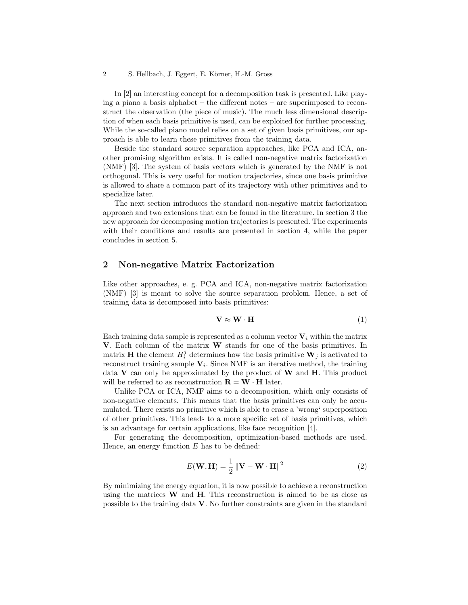#### 2 S. Hellbach, J. Eggert, E. Körner, H.-M. Gross

In [2] an interesting concept for a decomposition task is presented. Like playing a piano a basis alphabet – the different notes – are superimposed to reconstruct the observation (the piece of music). The much less dimensional description of when each basis primitive is used, can be exploited for further processing. While the so-called piano model relies on a set of given basis primitives, our approach is able to learn these primitives from the training data.

Beside the standard source separation approaches, like PCA and ICA, another promising algorithm exists. It is called non-negative matrix factorization (NMF) [3]. The system of basis vectors which is generated by the NMF is not orthogonal. This is very useful for motion trajectories, since one basis primitive is allowed to share a common part of its trajectory with other primitives and to specialize later.

The next section introduces the standard non-negative matrix factorization approach and two extensions that can be found in the literature. In section 3 the new approach for decomposing motion trajectories is presented. The experiments with their conditions and results are presented in section 4, while the paper concludes in section 5.

## 2 Non-negative Matrix Factorization

Like other approaches, e. g. PCA and ICA, non-negative matrix factorization (NMF) [3] is meant to solve the source separation problem. Hence, a set of training data is decomposed into basis primitives:

$$
\mathbf{V} \approx \mathbf{W} \cdot \mathbf{H} \tag{1}
$$

Each training data sample is represented as a column vector  $V_i$  within the matrix V. Each column of the matrix W stands for one of the basis primitives. In matrix **H** the element  $H_i^j$  determines how the basis primitive  $\mathbf{W}_j$  is activated to reconstruct training sample  $V_i$ . Since NMF is an iterative method, the training data  $V$  can only be approximated by the product of  $W$  and  $H$ . This product will be referred to as reconstruction  $\mathbf{R} = \mathbf{W} \cdot \mathbf{H}$  later.

Unlike PCA or ICA, NMF aims to a decomposition, which only consists of non-negative elements. This means that the basis primitives can only be accumulated. There exists no primitive which is able to erase a 'wrong' superposition of other primitives. This leads to a more specific set of basis primitives, which is an advantage for certain applications, like face recognition [4].

For generating the decomposition, optimization-based methods are used. Hence, an energy function  $E$  has to be defined:

$$
E(\mathbf{W}, \mathbf{H}) = \frac{1}{2} ||\mathbf{V} - \mathbf{W} \cdot \mathbf{H}||^2
$$
 (2)

By minimizing the energy equation, it is now possible to achieve a reconstruction using the matrices  $W$  and  $H$ . This reconstruction is aimed to be as close as possible to the training data V. No further constraints are given in the standard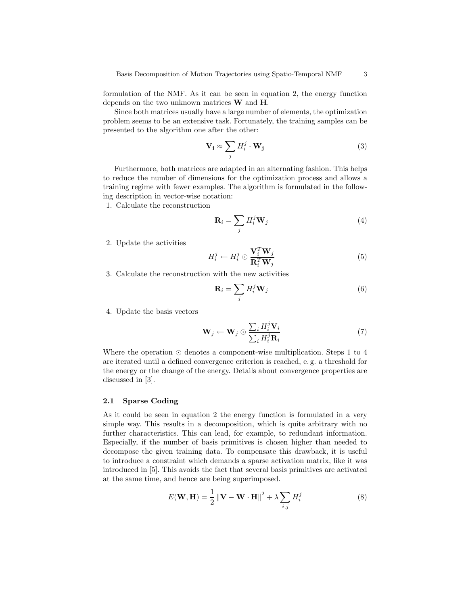formulation of the NMF. As it can be seen in equation 2, the energy function depends on the two unknown matrices W and H.

Since both matrices usually have a large number of elements, the optimization problem seems to be an extensive task. Fortunately, the training samples can be presented to the algorithm one after the other:

$$
\mathbf{V_i} \approx \sum_j H_i^j \cdot \mathbf{W_j} \tag{3}
$$

Furthermore, both matrices are adapted in an alternating fashion. This helps to reduce the number of dimensions for the optimization process and allows a training regime with fewer examples. The algorithm is formulated in the following description in vector-wise notation:

1. Calculate the reconstruction

$$
\mathbf{R}_i = \sum_j H_i^j \mathbf{W}_j \tag{4}
$$

2. Update the activities

$$
H_i^j \leftarrow H_i^j \odot \frac{\mathbf{V}_i^T \mathbf{W}_j}{\mathbf{R}_i^T \mathbf{W}_j}
$$
 (5)

3. Calculate the reconstruction with the new activities

$$
\mathbf{R}_{i} = \sum_{j} H_{i}^{j} \mathbf{W}_{j}
$$
 (6)

4. Update the basis vectors

$$
\mathbf{W}_{j} \leftarrow \mathbf{W}_{j} \odot \frac{\sum_{i} H_{i}^{j} \mathbf{V}_{i}}{\sum_{i} H_{i}^{j} \mathbf{R}_{i}}
$$
\n(7)

Where the operation  $\odot$  denotes a component-wise multiplication. Steps 1 to 4 are iterated until a defined convergence criterion is reached, e. g. a threshold for the energy or the change of the energy. Details about convergence properties are discussed in [3].

## 2.1 Sparse Coding

As it could be seen in equation 2 the energy function is formulated in a very simple way. This results in a decomposition, which is quite arbitrary with no further characteristics. This can lead, for example, to redundant information. Especially, if the number of basis primitives is chosen higher than needed to decompose the given training data. To compensate this drawback, it is useful to introduce a constraint which demands a sparse activation matrix, like it was introduced in [5]. This avoids the fact that several basis primitives are activated at the same time, and hence are being superimposed.

$$
E(\mathbf{W}, \mathbf{H}) = \frac{1}{2} ||\mathbf{V} - \mathbf{W} \cdot \mathbf{H}||^2 + \lambda \sum_{i,j} H_i^j
$$
 (8)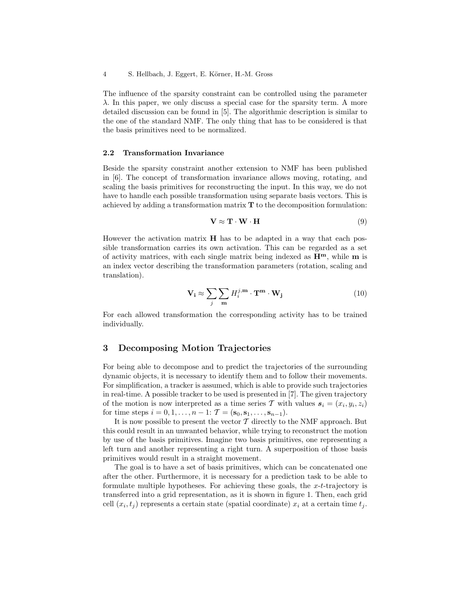The influence of the sparsity constraint can be controlled using the parameter  $\lambda$ . In this paper, we only discuss a special case for the sparsity term. A more detailed discussion can be found in [5]. The algorithmic description is similar to the one of the standard NMF. The only thing that has to be considered is that the basis primitives need to be normalized.

## 2.2 Transformation Invariance

Beside the sparsity constraint another extension to NMF has been published in [6]. The concept of transformation invariance allows moving, rotating, and scaling the basis primitives for reconstructing the input. In this way, we do not have to handle each possible transformation using separate basis vectors. This is achieved by adding a transformation matrix T to the decomposition formulation:

$$
\mathbf{V} \approx \mathbf{T} \cdot \mathbf{W} \cdot \mathbf{H} \tag{9}
$$

However the activation matrix H has to be adapted in a way that each possible transformation carries its own activation. This can be regarded as a set of activity matrices, with each single matrix being indexed as  $\mathbf{H}^{\mathbf{m}}$ , while  $\mathbf{m}$  is an index vector describing the transformation parameters (rotation, scaling and translation).

$$
\mathbf{V}_{\mathbf{i}} \approx \sum_{j} \sum_{\mathbf{m}} H_{i}^{j, \mathbf{m}} \cdot \mathbf{T}^{\mathbf{m}} \cdot \mathbf{W}_{\mathbf{j}}
$$
(10)

For each allowed transformation the corresponding activity has to be trained individually.

# 3 Decomposing Motion Trajectories

For being able to decompose and to predict the trajectories of the surrounding dynamic objects, it is necessary to identify them and to follow their movements. For simplification, a tracker is assumed, which is able to provide such trajectories in real-time. A possible tracker to be used is presented in [7]. The given trajectory of the motion is now interpreted as a time series T with values  $s_i = (x_i, y_i, z_i)$ for time steps  $i = 0, 1, \ldots, n - 1$ :  $\mathcal{T} = (\mathbf{s}_0, \mathbf{s}_1, \ldots, \mathbf{s}_{n-1}).$ 

It is now possible to present the vector  $\mathcal T$  directly to the NMF approach. But this could result in an unwanted behavior, while trying to reconstruct the motion by use of the basis primitives. Imagine two basis primitives, one representing a left turn and another representing a right turn. A superposition of those basis primitives would result in a straight movement.

The goal is to have a set of basis primitives, which can be concatenated one after the other. Furthermore, it is necessary for a prediction task to be able to formulate multiple hypotheses. For achieving these goals, the  $x-t$ -trajectory is transferred into a grid representation, as it is shown in figure 1. Then, each grid cell  $(x_i, t_j)$  represents a certain state (spatial coordinate)  $x_i$  at a certain time  $t_j$ .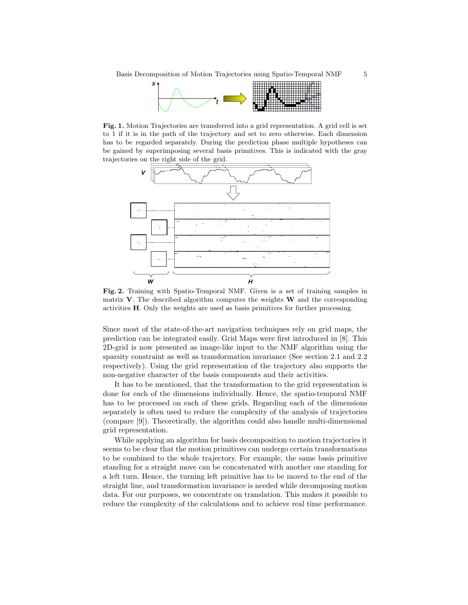Basis Decomposition of Motion Trajectories using Spatio-Temporal NMF 5



Fig. 1. Motion Trajectories are transferred into a grid representation. A grid cell is set to 1 if it is in the path of the trajectory and set to zero otherwise. Each dimension has to be regarded separately. During the prediction phase multiple hypotheses can be gained by superimposing several basis primitives. This is indicated with the gray trajectories on the right side of the grid.



Fig. 2. Training with Spatio-Temporal NMF. Given is a set of training samples in matrix  $V$ . The described algorithm computes the weights  $W$  and the corresponding activities H. Only the weights are used as basis primitives for further processing.

Since most of the state-of-the-art navigation techniques rely on grid maps, the prediction can be integrated easily. Grid Maps were first introduced in [8]. This 2D-grid is now presented as image-like input to the NMF algorithm using the sparsity constraint as well as transformation invariance (See section 2.1 and 2.2 respectively). Using the grid representation of the trajectory also supports the non-negative character of the basis components and their activities.

It has to be mentioned, that the transformation to the grid representation is done for each of the dimensions individually. Hence, the spatio-temporal NMF has to be processed on each of these grids. Regarding each of the dimensions separately is often used to reduce the complexity of the analysis of trajectories (compare [9]). Theoretically, the algorithm could also handle multi-dimensional grid representation.

While applying an algorithm for basis decomposition to motion trajectories it seems to be clear that the motion primitives can undergo certain transformations to be combined to the whole trajectory. For example, the same basis primitive standing for a straight move can be concatenated with another one standing for a left turn. Hence, the turning left primitive has to be moved to the end of the straight line, and transformation invariance is needed while decomposing motion data. For our purposes, we concentrate on translation. This makes it possible to reduce the complexity of the calculations and to achieve real time performance.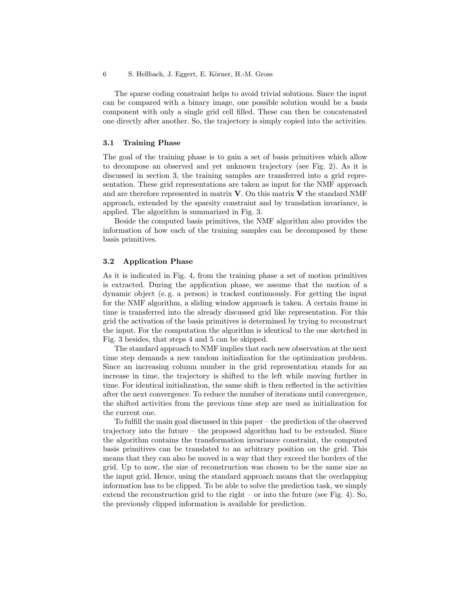#### 6 S. Hellbach, J. Eggert, E. Körner, H.-M. Gross

The sparse coding constraint helps to avoid trivial solutions. Since the input can be compared with a binary image, one possible solution would be a basis component with only a single grid cell filled. These can then be concatenated one directly after another. So, the trajectory is simply copied into the activities.

## 3.1 Training Phase

The goal of the training phase is to gain a set of basis primitives which allow to decompose an observed and yet unknown trajectory (see Fig. 2). As it is discussed in section 3, the training samples are transferred into a grid representation. These grid representations are taken as input for the NMF approach and are therefore represented in matrix  $V$ . On this matrix  $V$  the standard NMF approach, extended by the sparsity constraint and by translation invariance, is applied. The algorithm is summarized in Fig. 3.

Beside the computed basis primitives, the NMF algorithm also provides the information of how each of the training samples can be decomposed by these basis primitives.

#### 3.2 Application Phase

As it is indicated in Fig. 4, from the training phase a set of motion primitives is extracted. During the application phase, we assume that the motion of a dynamic object (e. g. a person) is tracked continuously. For getting the input for the NMF algorithm, a sliding window approach is taken. A certain frame in time is transferred into the already discussed grid like representation. For this grid the activation of the basis primitives is determined by trying to reconstruct the input. For the computation the algorithm is identical to the one sketched in Fig. 3 besides, that steps 4 and 5 can be skipped.

The standard approach to NMF implies that each new observation at the next time step demands a new random initialization for the optimization problem. Since an increasing column number in the grid representation stands for an increase in time, the trajectory is shifted to the left while moving further in time. For identical initialization, the same shift is then reflected in the activities after the next convergence. To reduce the number of iterations until convergence, the shifted activities from the previous time step are used as initialization for the current one.

To fulfill the main goal discussed in this paper – the prediction of the observed trajectory into the future – the proposed algorithm had to be extended. Since the algorithm contains the transformation invariance constraint, the computed basis primitives can be translated to an arbitrary position on the grid. This means that they can also be moved in a way that they exceed the borders of the grid. Up to now, the size of reconstruction was chosen to be the same size as the input grid. Hence, using the standard approach means that the overlapping information has to be clipped. To be able to solve the prediction task, we simply extend the reconstruction grid to the right – or into the future (see Fig. 4). So, the previously clipped information is available for prediction.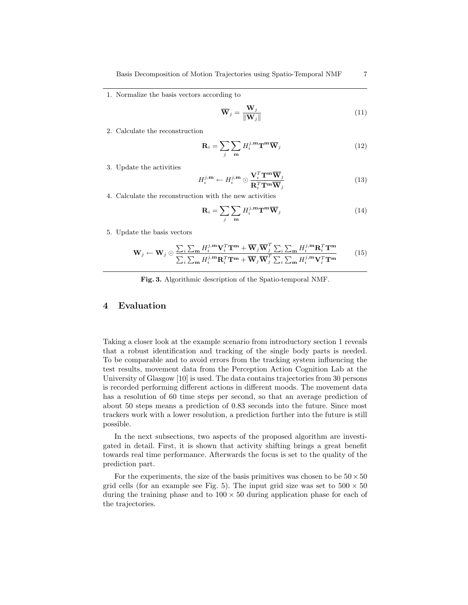1. Normalize the basis vectors according to

$$
\overline{\mathbf{W}}_{j} = \frac{\mathbf{W}_{j}}{\|\mathbf{W}_{j}\|} \tag{11}
$$

2. Calculate the reconstruction

$$
\mathbf{R}_{i} = \sum_{j} \sum_{\mathbf{m}} H_{i}^{j,\mathbf{m}} \mathbf{T}^{\mathbf{m}} \overline{\mathbf{W}}_{j}
$$
(12)

3. Update the activities

$$
H_i^{j,\mathbf{m}} \leftarrow H_i^{j,\mathbf{m}} \odot \frac{\mathbf{V}_i^T \mathbf{T}^{\mathbf{m}} \overline{\mathbf{W}}_j}{\mathbf{R}_i^T \mathbf{T}^{\mathbf{m}} \overline{\mathbf{W}}_j}
$$
(13)

4. Calculate the reconstruction with the new activities

$$
\mathbf{R}_{i} = \sum_{j} \sum_{\mathbf{m}} H_{i}^{j, \mathbf{m}} \mathbf{T}^{\mathbf{m}} \overline{\mathbf{W}}_{j}
$$
(14)

5. Update the basis vectors

$$
\mathbf{W}_{j} \leftarrow \mathbf{W}_{j} \odot \frac{\sum_{i} \sum_{m} H_{i}^{j, m} \mathbf{V}_{i}^{T} \mathbf{T}^{m} + \overline{\mathbf{W}}_{j} \overline{\mathbf{W}}_{j}^{T} \sum_{i} \sum_{m} H_{i}^{j, m} \mathbf{R}_{i}^{T} \mathbf{T}^{m}}{\sum_{i} \sum_{m} H_{i}^{j, m} \mathbf{R}_{i}^{T} \mathbf{T}^{m} + \overline{\mathbf{W}}_{j} \overline{\mathbf{W}}_{j}^{T} \sum_{i} \sum_{m} H_{i}^{j, m} \mathbf{V}_{i}^{T} \mathbf{T}^{m}}
$$
(15)

## 4 Evaluation

Taking a closer look at the example scenario from introductory section 1 reveals that a robust identification and tracking of the single body parts is needed. To be comparable and to avoid errors from the tracking system influencing the test results, movement data from the Perception Action Cognition Lab at the University of Glasgow [10] is used. The data contains trajectories from 30 persons is recorded performing different actions in different moods. The movement data has a resolution of 60 time steps per second, so that an average prediction of about 50 steps means a prediction of 0.83 seconds into the future. Since most trackers work with a lower resolution, a prediction further into the future is still possible.

In the next subsections, two aspects of the proposed algorithm are investigated in detail. First, it is shown that activity shifting brings a great benefit towards real time performance. Afterwards the focus is set to the quality of the prediction part.

For the experiments, the size of the basis primitives was chosen to be  $50 \times 50$ grid cells (for an example see Fig. 5). The input grid size was set to  $500 \times 50$ during the training phase and to  $100 \times 50$  during application phase for each of the trajectories.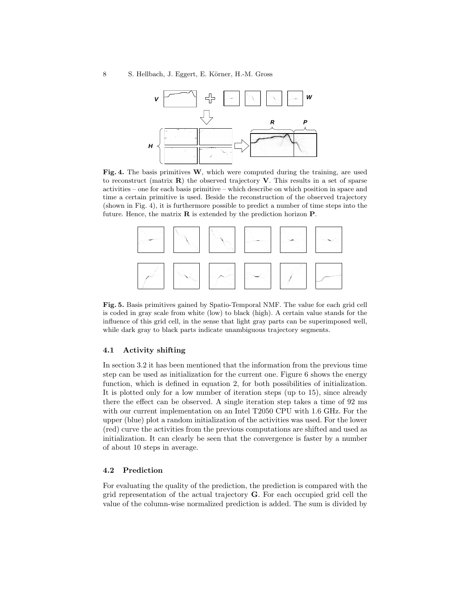

Fig. 4. The basis primitives W, which were computed during the training, are used to reconstruct (matrix  $\bf{R}$ ) the observed trajectory  $\bf{V}$ . This results in a set of sparse activities – one for each basis primitive – which describe on which position in space and time a certain primitive is used. Beside the reconstruction of the observed trajectory (shown in Fig. 4), it is furthermore possible to predict a number of time steps into the future. Hence, the matrix  $\bf{R}$  is extended by the prediction horizon  $\bf{P}$ .



Fig. 5. Basis primitives gained by Spatio-Temporal NMF. The value for each grid cell is coded in gray scale from white (low) to black (high). A certain value stands for the influence of this grid cell, in the sense that light gray parts can be superimposed well, while dark gray to black parts indicate unambiguous trajectory segments.

#### 4.1 Activity shifting

In section 3.2 it has been mentioned that the information from the previous time step can be used as initialization for the current one. Figure 6 shows the energy function, which is defined in equation 2, for both possibilities of initialization. It is plotted only for a low number of iteration steps (up to 15), since already there the effect can be observed. A single iteration step takes a time of 92 ms with our current implementation on an Intel T2050 CPU with 1.6 GHz. For the upper (blue) plot a random initialization of the activities was used. For the lower (red) curve the activities from the previous computations are shifted and used as initialization. It can clearly be seen that the convergence is faster by a number of about 10 steps in average.

## 4.2 Prediction

For evaluating the quality of the prediction, the prediction is compared with the grid representation of the actual trajectory G. For each occupied grid cell the value of the column-wise normalized prediction is added. The sum is divided by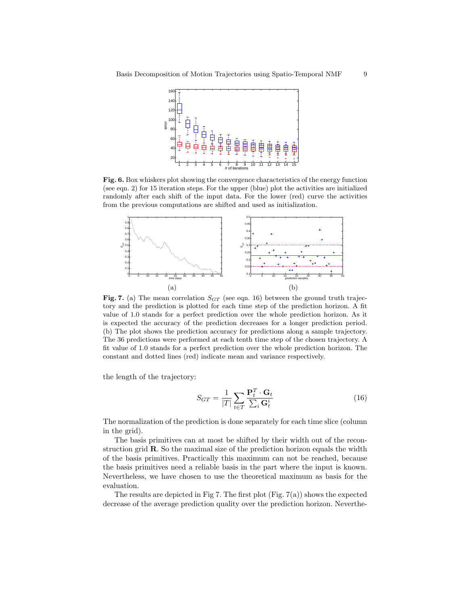

Fig. 6. Box whiskers plot showing the convergence characteristics of the energy function (see eqn. 2) for 15 iteration steps. For the upper (blue) plot the activities are initialized randomly after each shift of the input data. For the lower (red) curve the activities from the previous computations are shifted and used as initialization.



Fig. 7. (a) The mean correlation  $S_{GT}$  (see eqn. 16) between the ground truth trajectory and the prediction is plotted for each time step of the prediction horizon. A fit value of 1.0 stands for a perfect prediction over the whole prediction horizon. As it is expected the accuracy of the prediction decreases for a longer prediction period. (b) The plot shows the prediction accuracy for predictions along a sample trajectory. The 36 predictions were performed at each tenth time step of the chosen trajectory. A fit value of 1.0 stands for a perfect prediction over the whole prediction horizon. The constant and dotted lines (red) indicate mean and variance respectively.

the length of the trajectory:

$$
S_{GT} = \frac{1}{|T|} \sum_{t \in T} \frac{\mathbf{P}_t^T \cdot \mathbf{G}_t}{\sum_i \mathbf{G}_t^i}
$$
(16)

The normalization of the prediction is done separately for each time slice (column in the grid).

The basis primitives can at most be shifted by their width out of the reconstruction grid  $\bf R$ . So the maximal size of the prediction horizon equals the width of the basis primitives. Practically this maximum can not be reached, because the basis primitives need a reliable basis in the part where the input is known. Nevertheless, we have chosen to use the theoretical maximum as basis for the evaluation.

The results are depicted in Fig 7. The first plot  $(Fig. 7(a))$  shows the expected decrease of the average prediction quality over the prediction horizon. Neverthe